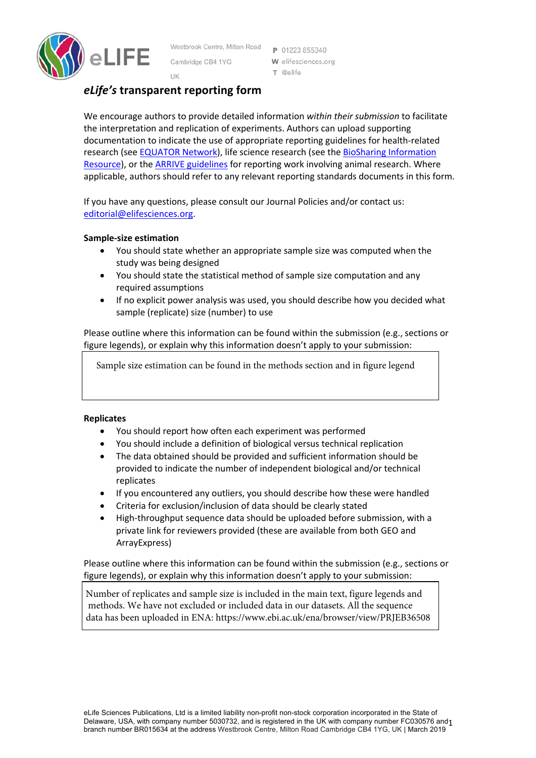

Westbrook Centre, Milton Road Cambridge CB4 1YG

P 01223 855340 W elifesciences.org T @elife

# UK *eLife's* **transparent reporting form**

We encourage authors to provide detailed information *within their submission* to facilitate the interpretation and replication of experiments. Authors can upload supporting documentation to indicate the use of appropriate reporting guidelines for health-related research (see **EQUATOR Network**), life science research (see the **BioSharing Information** Resource), or the ARRIVE guidelines for reporting work involving animal research. Where applicable, authors should refer to any relevant reporting standards documents in this form.

If you have any questions, please consult our Journal Policies and/or contact us: editorial@elifesciences.org.

### **Sample-size estimation**

- You should state whether an appropriate sample size was computed when the study was being designed
- You should state the statistical method of sample size computation and any required assumptions
- If no explicit power analysis was used, you should describe how you decided what sample (replicate) size (number) to use

Please outline where this information can be found within the submission (e.g., sections or figure legends), or explain why this information doesn't apply to your submission:

Sample size estimation can be found in the methods section and in figure legend

### **Replicates**

- You should report how often each experiment was performed
- You should include a definition of biological versus technical replication
- The data obtained should be provided and sufficient information should be provided to indicate the number of independent biological and/or technical replicates
- If you encountered any outliers, you should describe how these were handled
- Criteria for exclusion/inclusion of data should be clearly stated
- High-throughput sequence data should be uploaded before submission, with a private link for reviewers provided (these are available from both GEO and ArrayExpress)

Please outline where this information can be found within the submission (e.g., sections or figure legends), or explain why this information doesn't apply to your submission:

Number of replicates and sample size is included in the main text, figure legends and methods. We have not excluded or included data in our datasets. All the sequence data has been uploaded in ENA: https://www.ebi.ac.uk/ena/browser/view/PRJEB36508